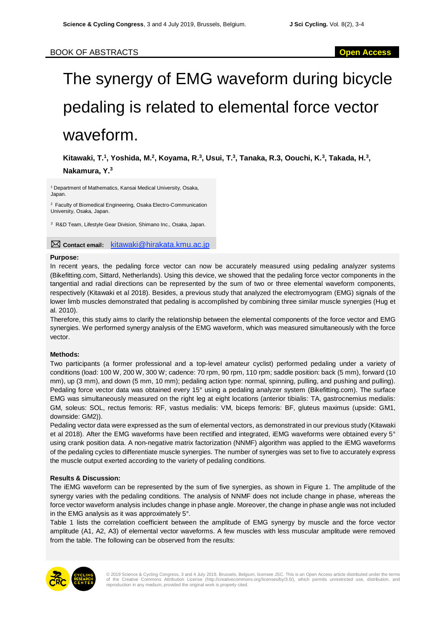# The synergy of EMG waveform during bicycle pedaling is related to elemental force vector waveform.

Kitawaki, T.<sup>1</sup>, Yoshida, M.<sup>2</sup>, Koyama, R.<sup>3</sup>, Usui, T.<sup>3</sup>, Tanaka, R.3, Oouchi, K.<sup>3</sup>, Takada, H.<sup>3</sup>, **Nakamura, Y.<sup>3</sup>**

<sup>1</sup> Department of Mathematics, Kansai Medical University, Osaka, Japan.

<sup>2</sup> Faculty of Biomedical Engineering, Osaka Electro-Communication University, Osaka, Japan.

*<sup>3</sup>* R&D Team, Lifestyle Gear Division, Shimano Inc., Osaka, Japan.

**Contact email:** kitawaki@hirakata.kmu.ac.jp

#### **Purpose:**

In recent years, the pedaling force vector can now be accurately measured using pedaling analyzer systems (Bikefitting.com, Sittard, Netherlands). Using this device, we showed that the pedaling force vector components in the tangential and radial directions can be represented by the sum of two or three elemental waveform components, respectively (Kitawaki et al 2018). Besides, a previous study that analyzed the electromyogram (EMG) signals of the lower limb muscles demonstrated that pedaling is accomplished by combining three similar muscle synergies (Hug et al. 2010).

Therefore, this study aims to clarify the relationship between the elemental components of the force vector and EMG synergies. We performed synergy analysis of the EMG waveform, which was measured simultaneously with the force vector.

## **Methods:**

Two participants (a former professional and a top-level amateur cyclist) performed pedaling under a variety of conditions (load: 100 W, 200 W, 300 W; cadence: 70 rpm, 90 rpm, 110 rpm; saddle position: back (5 mm), forward (10 mm), up (3 mm), and down (5 mm, 10 mm); pedaling action type: normal, spinning, pulling, and pushing and pulling). Pedaling force vector data was obtained every 15° using a pedaling analyzer system (Bikefitting.com). The surface EMG was simultaneously measured on the right leg at eight locations (anterior tibialis: TA, gastrocnemius medialis: GM, soleus: SOL, rectus femoris: RF, vastus medialis: VM, biceps femoris: BF, gluteus maximus (upside: GM1, downside: GM2)).

Pedaling vector data were expressed as the sum of elemental vectors, as demonstrated in our previous study (Kitawaki et al 2018). After the EMG waveforms have been rectified and integrated, iEMG waveforms were obtained every 5° using crank position data. A non-negative matrix factorization (NNMF) algorithm was applied to the iEMG waveforms of the pedaling cycles to differentiate muscle synergies. The number of synergies was set to five to accurately express the muscle output exerted according to the variety of pedaling conditions.

## **Results & Discussion:**

The iEMG waveform can be represented by the sum of five synergies, as shown in Figure 1. The amplitude of the synergy varies with the pedaling conditions. The analysis of NNMF does not include change in phase, whereas the force vector waveform analysis includes change in phase angle. Moreover, the change in phase angle was not included in the EMG analysis as it was approximately 5°.

Table 1 lists the correlation coefficient between the amplitude of EMG synergy by muscle and the force vector amplitude (A1, A2, A3) of elemental vector waveforms. A few muscles with less muscular amplitude were removed from the table. The following can be observed from the results:

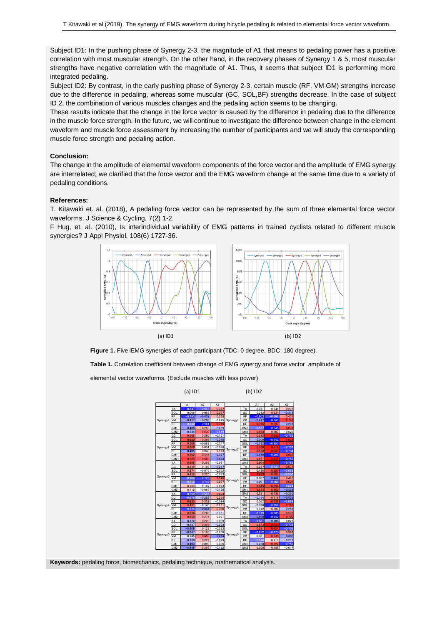Subject ID1: In the pushing phase of Synergy 2-3, the magnitude of A1 that means to pedaling power has a positive correlation with most muscular strength. On the other hand, in the recovery phases of Synergy 1 & 5, most muscular strengths have negative correlation with the magnitude of A1. Thus, it seems that subject ID1 is performing more integrated pedaling.

Subject ID2: By contrast, in the early pushing phase of Synergy 2-3, certain muscle (RF, VM GM) strengths increase due to the difference in pedaling, whereas some muscular (GC, SOL,BF) strengths decrease. In the case of subject ID 2, the combination of various muscles changes and the pedaling action seems to be changing.

These results indicate that the change in the force vector is caused by the difference in pedaling due to the difference in the muscle force strength. In the future, we will continue to investigate the difference between change in the element waveform and muscle force assessment by increasing the number of participants and we will study the corresponding muscle force strength and pedaling action.

### **Conclusion:**

The change in the amplitude of elemental waveform components of the force vector and the amplitude of EMG synergy are interrelated; we clarified that the force vector and the EMG waveform change at the same time due to a variety of pedaling conditions.

#### **References:**

T. Kitawaki et. al. (2018), A pedaling force vector can be represented by the sum of three elemental force vector waveforms. J Science & Cycling, 7(2) 1-2.

F Hug, et. al. (2010), Is interindividual variability of EMG patterns in trained cyclists related to different muscle synergies? J Appl Physiol, 108(6) 1727-36.



**Figure 1.** Five iEMG synergies of each participant (TDC: 0 degree, BDC: 180 degree).

**Table 1.** Correlation coefficient between change of EMG synergy and force vector amplitude of

elemental vector waveforms. (Exclude muscles with less power)



**Keywords:** pedaling force, biomechanics, pedaling technique, mathematical analysis.